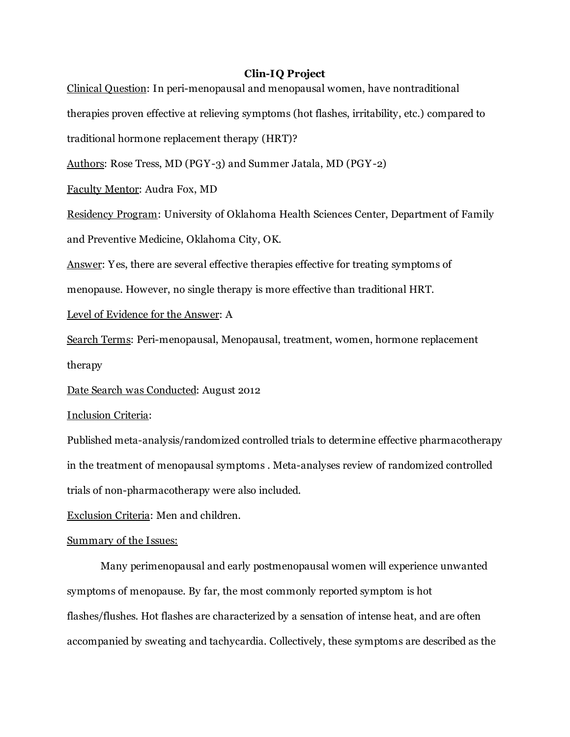## Clin-IQ Project

Clinical Question: In peri-menopausal and menopausal women, have nontraditional therapies proven effective at relieving symptoms (hot flashes, irritability, etc.) compared to traditional hormone replacement therapy (HRT)? Authors: Rose Tress, MD (PGY-3) and Summer Jatala, MD (PGY-2) Faculty Mentor: Audra Fox, MD Residency Program: University of Oklahoma Health Sciences Center, Department of Family and Preventive Medicine, Oklahoma City, OK. Answer: Yes, there are several effective therapies effective for treating symptoms of menopause. However, no single therapy is more effective than traditional HRT. Level of Evidence for the Answer: A Search Terms: Peri-menopausal, Menopausal, treatment, women, hormone replacement therapy Date Search was Conducted: August 2012 Inclusion Criteria: Published meta-analysis/randomized controlled trials to determine effective pharmacotherapy in the treatment of menopausal symptoms . Meta-analyses review of randomized controlled trials of non-pharmacotherapy were also included. Exclusion Criteria: Men and children. Summary of the Issues: Many perimenopausal and early postmenopausal women will experience unwanted symptoms of menopause. By far, the most commonly reported symptom is hot flashes/flushes. Hot flashes are characterized by a sensation of intense heat, and are often accompanied by sweating and tachycardia. Collectively, these symptoms are described as the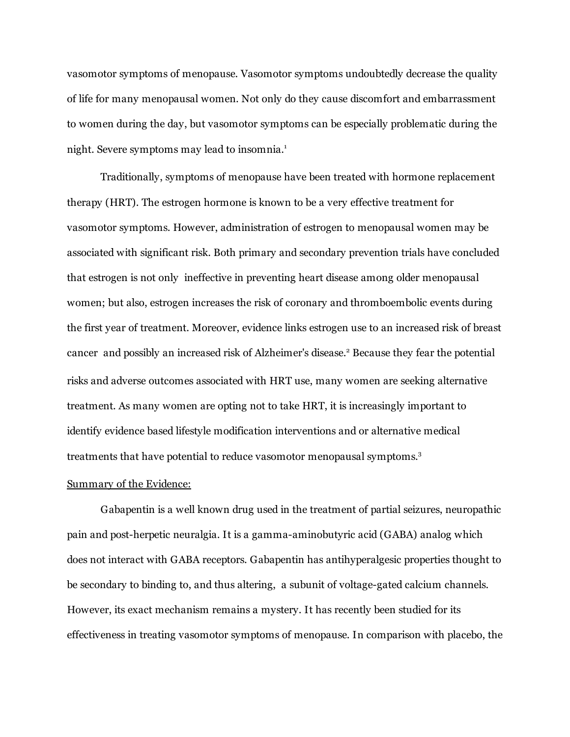vasomotor symptoms of menopause. Vasomotor symptoms undoubtedly decrease the quality of life for many menopausal women. Not only do they cause discomfort and embarrassment to women during the day, but vasomotor symptoms can be especially problematic during the night. Severe symptoms may lead to insomnia. 1

Traditionally, symptoms of menopause have been treated with hormone replacement therapy (HRT). The estrogen hormone is known to be a very effective treatment for vasomotor symptoms. However, administration of estrogen to menopausal women may be associated with significant risk. Both primary and secondary prevention trials have concluded that estrogen is not only ineffective in preventing heart disease among older menopausal women; but also, estrogen increases the risk of coronary and thromboembolic events during the first year of treatment. Moreover, evidence links estrogen use to an increased risk of breast cancer and possibly an increased risk of Alzheimer's disease. <sup>2</sup> Because they fear the potential risks and adverse outcomes associated with HRT use, many women are seeking alternative treatment. As many women are opting not to take HRT, it is increasingly important to identify evidence based lifestyle modification interventions and or alternative medical treatments that have potential to reduce vasomotor menopausal symptoms. 3

#### Summary of the Evidence:

Gabapentin is a well known drug used in the treatment of partial seizures, neuropathic pain and post-herpetic neuralgia. It is a gamma-aminobutyric acid (GABA) analog which does not interact with GABA receptors. Gabapentin has antihyperalgesic properties thought to be secondary to binding to, and thus altering, a subunit of voltage-gated calcium channels. However, its exact mechanism remains a mystery. It has recently been studied for its effectiveness in treating vasomotor symptoms of menopause. In comparison with placebo, the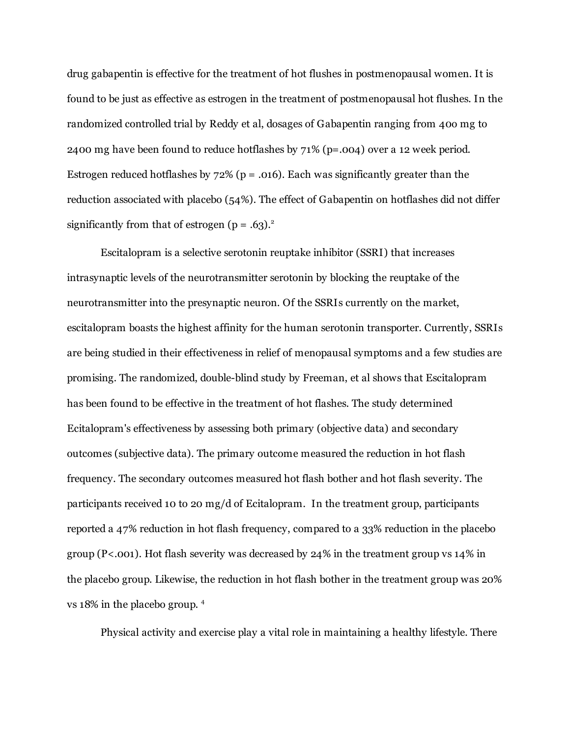drug gabapentin is effective for the treatment of hot flushes in postmenopausal women. It is found to be just as effective as estrogen in the treatment of postmenopausal hot flushes. In the randomized controlled trial by Reddy et al, dosages of Gabapentin ranging from 40o mg to 2400 mg have been found to reduce hotflashes by 71% (p=.004) over a 12 week period. Estrogen reduced hotflashes by  $72\%$  (p = .016). Each was significantly greater than the reduction associated with placebo (54%). The effect of Gabapentin on hotflashes did not differ significantly from that of estrogen  $(p = .63).^2$ 

Escitalopram is a selective serotonin reuptake inhibitor (SSRI) that increases intrasynaptic levels of the neurotransmitter serotonin by blocking the reuptake of the neurotransmitter into the presynaptic neuron. Of the SSRIs currently on the market, escitalopram boasts the highest affinity for the human serotonin transporter. Currently, SSRIs are being studied in their effectiveness in relief of menopausal symptoms and a few studies are promising. The randomized, double-blind study by Freeman, et al shows that Escitalopram has been found to be effective in the treatment of hot flashes. The study determined Ecitalopram's effectiveness by assessing both primary (objective data) and secondary outcomes (subjective data). The primary outcome measured the reduction in hot flash frequency. The secondary outcomes measured hot flash bother and hot flash severity. The participants received 10 to 20 mg/d of Ecitalopram. In the treatment group, participants reported a 47% reduction in hot flash frequency, compared to a 33% reduction in the placebo group (P<.001). Hot flash severity was decreased by 24% in the treatment group vs 14% in the placebo group. Likewise, the reduction in hot flash bother in the treatment group was 20% vs 18% in the placebo group. 4

Physical activity and exercise play a vital role in maintaining a healthy lifestyle. There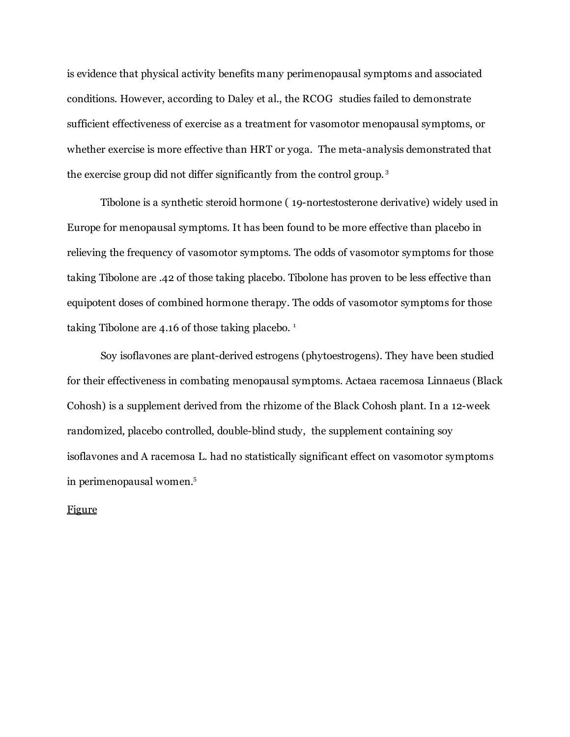is evidence that physical activity benefits many perimenopausal symptoms and associated conditions. However, according to Daley et al., the RCOG studies failed to demonstrate sufficient effectiveness of exercise as a treatment for vasomotor menopausal symptoms, or whether exercise is more effective than HRT or yoga. The meta-analysis demonstrated that the exercise group did not differ significantly from the control group. 3

Tibolone is a synthetic steroid hormone ( 19-nortestosterone derivative) widely used in Europe for menopausal symptoms. It has been found to be more effective than placebo in relieving the frequency of vasomotor symptoms. The odds of vasomotor symptoms for those taking Tibolone are .42 of those taking placebo. Tibolone has proven to be less effective than equipotent doses of combined hormone therapy. The odds of vasomotor symptoms for those taking Tibolone are 4.16 of those taking placebo. 1

Soy isoflavones are plant-derived estrogens (phytoestrogens). They have been studied for their effectiveness in combating menopausal symptoms. Actaea racemosa Linnaeus (Black Cohosh) is a supplement derived from the rhizome of the Black Cohosh plant. In a 12-week randomized, placebo controlled, double-blind study, the supplement containing soy isoflavones and A racemosa L. had no statistically significant effect on vasomotor symptoms in perimenopausal women. 5

# Figure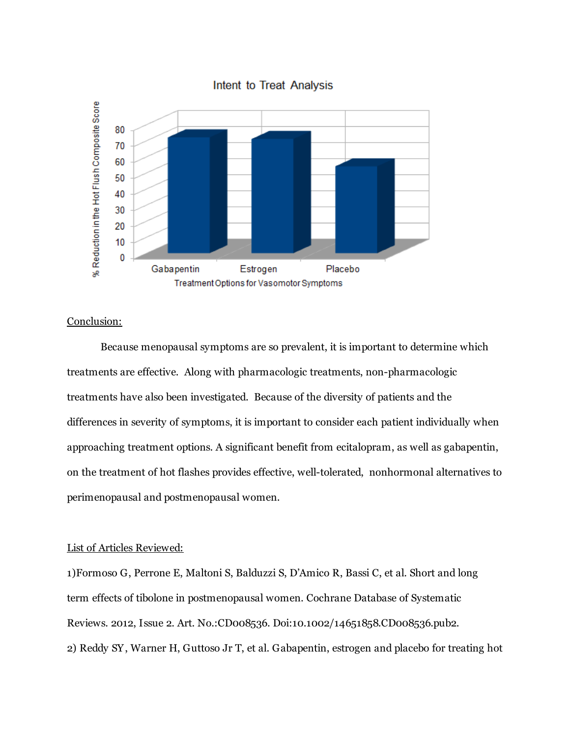

## Conclusion:

Because menopausal symptoms are so prevalent, it is important to determine which treatments are effective. Along with pharmacologic treatments, non-pharmacologic treatments have also been investigated. Because of the diversity of patients and the differences in severity of symptoms, it is important to consider each patient individually when approaching treatment options. A significant benefit from ecitalopram, as well as gabapentin, on the treatment of hot flashes provides effective, well-tolerated, nonhormonal alternatives to perimenopausal and postmenopausal women.

## List of Articles Reviewed:

1)Formoso G, Perrone E, Maltoni S, Balduzzi S, D'Amico R, Bassi C, et al. Short and long term effects of tibolone in postmenopausal women. Cochrane Database of Systematic Reviews. 2012, Issue 2. Art. No.:CD008536. Doi:10.1002/14651858.CD008536.pub2. 2) Reddy SY, Warner H, Guttoso Jr T, et al. Gabapentin, estrogen and placebo for treating hot